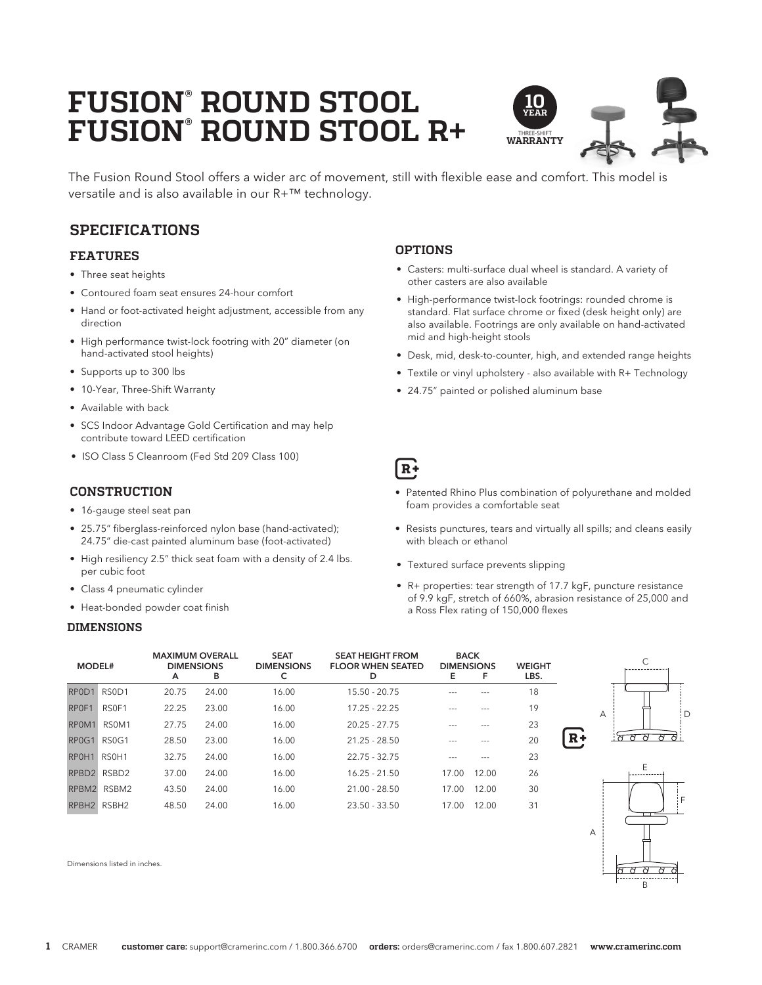# **FUSION® ROUND STOOL FUSION® ROUND STOOL R+**



The Fusion Round Stool offers a wider arc of movement, still with flexible ease and comfort. This model is versatile and is also available in our R+™ technology.

# **SPECIFICATIONS**

## **FEATURES**

- Three seat heights
- Contoured foam seat ensures 24-hour comfort
- Hand or foot-activated height adjustment, accessible from any direction
- High performance twist-lock footring with 20" diameter (on hand-activated stool heights)
- Supports up to 300 lbs
- 10-Year, Three-Shift Warranty
- Available with back
- SCS Indoor Advantage Gold Certification and may help contribute toward LEED certification
- ISO Class 5 Cleanroom (Fed Std 209 Class 100)

## **CONSTRUCTION**

- 16-gauge steel seat pan
- 25.75" fiberglass-reinforced nylon base (hand-activated); 24.75" die-cast painted aluminum base (foot-activated)
- High resiliency 2.5" thick seat foam with a density of 2.4 lbs. per cubic foot
- Class 4 pneumatic cylinder
- Heat-bonded powder coat finish

### **DIMENSIONS**

## **OPTIONS**

- Casters: multi-surface dual wheel is standard. A variety of other casters are also available
- High-performance twist-lock footrings: rounded chrome is standard. Flat surface chrome or fixed (desk height only) are also available. Footrings are only available on hand-activated mid and high-height stools
- Desk, mid, desk-to-counter, high, and extended range heights
- Textile or vinyl upholstery also available with R+ Technology
- 24.75" painted or polished aluminum base

|  | ۰.<br>-- |
|--|----------|

- Patented Rhino Plus combination of polyurethane and molded foam provides a comfortable seat
- Resists punctures, tears and virtually all spills; and cleans easily with bleach or ethanol
- Textured surface prevents slipping
- R+ properties: tear strength of 17.7 kgF, puncture resistance of 9.9 kgF, stretch of 660%, abrasion resistance of 25,000 and a Ross Flex rating of 150,000 flexes

| MODEL#                         |                                | <b>MAXIMUM OVERALL</b><br><b>DIMENSIONS</b><br>A | в     | <b>SEAT</b><br><b>DIMENSIONS</b><br>c | <b>SEAT HEIGHT FROM</b><br><b>FLOOR WHEN SEATED</b><br>D | <b>BACK</b><br><b>DIMENSIONS</b><br>Е | F     | <b>WEIGHT</b><br>LBS. |  |
|--------------------------------|--------------------------------|--------------------------------------------------|-------|---------------------------------------|----------------------------------------------------------|---------------------------------------|-------|-----------------------|--|
| RPOD <sub>1</sub>              | RS0D1                          | 20.75                                            | 24.00 | 16.00                                 | $15.50 - 20.75$                                          |                                       |       | 18                    |  |
| RPOF1                          | RS <sub>OF1</sub>              | 22.25                                            | 23.00 | 16.00                                 | $17.25 - 22.25$                                          |                                       |       | 19                    |  |
| RPOM1                          | RS <sub>0</sub> M <sub>1</sub> | 27.75                                            | 24.00 | 16.00                                 | $20.25 - 27.75$                                          |                                       |       | 23                    |  |
| RP <sub>0</sub> G <sub>1</sub> | RS <sub>0G1</sub>              | 28.50                                            | 23.00 | 16.00                                 | $21.25 - 28.50$                                          |                                       |       | 20                    |  |
| RPOH <sub>1</sub>              | RS <sub>0</sub> H <sub>1</sub> | 32.75                                            | 24.00 | 16.00                                 | $22.75 - 32.75$                                          |                                       |       | 23                    |  |
| RPBD <sub>2</sub>              | RSBD <sub>2</sub>              | 37.00                                            | 24.00 | 16.00                                 | $16.25 - 21.50$                                          | 17.00                                 | 12.00 | 26                    |  |
| RPBM2                          | RSBM2                          | 43.50                                            | 24.00 | 16.00                                 | $21.00 - 28.50$                                          | 17.00                                 | 12.00 | 30                    |  |
| RPBH <sub>2</sub>              | RSBH <sub>2</sub>              | 48.50                                            | 24.00 | 16.00                                 | $23.50 - 33.50$                                          | 17.00                                 | 12.00 | 31                    |  |





Dimensions listed in inches.